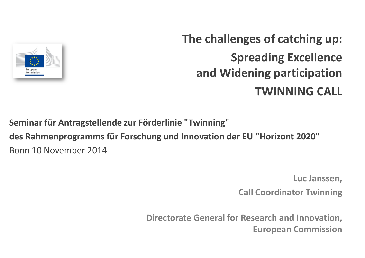

### **The challenges of catching up: Spreading Excellence and Widening participationTWINNING CALL**

**Seminar für Antragstellende zur Förderlinie "Twinning"**

**des Rahmenprogramms für Forschung und Innovation der EU "Horizont 2020"**Bonn 10 November 2014

**Luc Janssen,** 

**Call Coordinator Twinning**

**Directorate General for Research and Innovation, European Commission**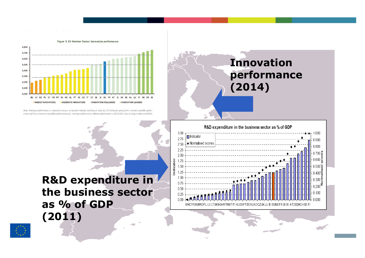

Note: Average performance is measured using a composite indicator building on data for 25 indicators going from a lowest possible performance of 0 to a maximum possible performance of 1. Average performance reflects performance in 2011/2012 due to a lag in data availability.

### **Innovation performance (2014)**



### **R&D expenditure in the business sector as % of GDP (2011)**

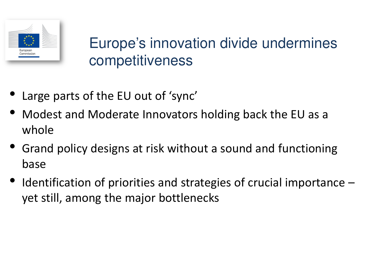

### Europe's innovation divide undermines competitiveness

- •Large parts of the EU out of 'sync'
- • Modest and Moderate Innovators holding back the EU as a whole
- • Grand policy designs at risk without a sound and functioning base
- • Identification of priorities and strategies of crucial importance –yet still, among the major bottlenecks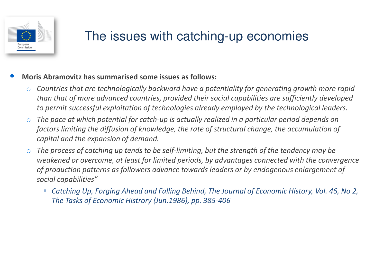

### The issues with catching-up economies

- • **Moris Abramovitz has summarised some issues as follows:**
	- o *Countries that are technologically backward have a potentiality for generating growth more rapid than that of more advanced countries, provided their social capabilities are sufficiently developed to permit successful exploitation of technologies already employed by the technological leaders.*
	- o *The pace at which potential for catch-up is actually realized in a particular period depends on factors limiting the diffusion of knowledge, the rate of structural change, the accumulation of capital and the expansion of demand.*
	- o *The process of catching up tends to be self-limiting, but the strength of the tendency may be weakened or overcome, at least for limited periods, by advantages connected with the convergence of production patterns as followers advance towards leaders or by endogenous enlargement of social capabilities"*
		- *Catching Up, Forging Ahead and Falling Behind, The Journal of Economic History, Vol. 46, No 2, The Tasks of Economic Histrory (Jun.1986), pp. 385-406*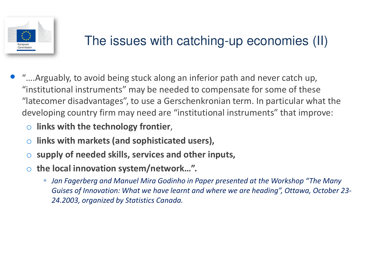

### The issues with catching-up economies (II)

- $\bullet$  "….Arguably, to avoid being stuck along an inferior path and never catch up, "institutional instruments" may be needed to compensate for some of these "latecomer disadvantages", to use a Gerschenkronian term. In particular what the developing country firm may need are "institutional instruments" that improve:
	- o **links with the technology frontier**,
	- o**links with markets (and sophisticated users),**
	- o**supply of needed skills, services and other inputs,**
	- o **the local innovation system/network…".**
		- *Jan Fagerberg and Manuel Mira Godinho in Paper presented at the Workshop "The Many Guises of Innovation: What we have learnt and where we are heading", Ottawa, October 23-24.2003, organized by Statistics Canada.*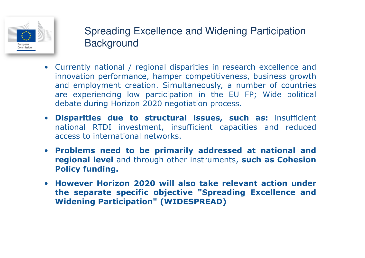

### Spreading Excellence and Widening Participation **Background**

- Currently national / regional disparities in research excellence and innovation performance, hamper competitiveness, business growth and employment creation. Simultaneously, <sup>a</sup> number of countries are experiencing low participation in the EU FP; Wide political debate during Horizon <sup>2020</sup> negotiation process**.**
- **Disparities due to structural issues, such as:** insufficient national RTDI investment, insufficient capacities and reduced access to international networks.
- **Problems need to be primarily addressed at national and regional level** and through other instruments, **such as Cohesion Policy funding.**
- **However Horizon <sup>2020</sup> will also take relevant action under the separate specific objective "Spreading Excellence and Widening Participation" (WIDESPREAD)**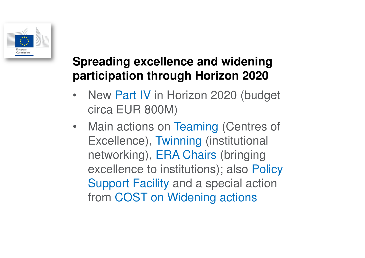

### **Spreading excellence and widening participation through Horizon 2020**

- New Part IV in Horizon 2020 (budget circa EUR 800M)
- Main actions on Teaming (Centres of Excellence), Twinning (institutional networking), ERA Chairs (bringing excellence to institutions); also Policy Support Facility and a special action from COST on Widening actions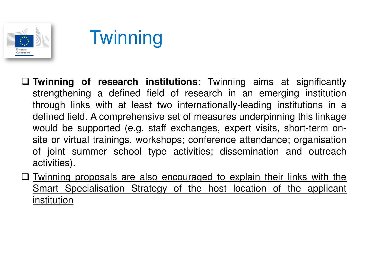

- **Twinning of research institutions**: Twinning aims at significantly strengthening <sup>a</sup> defined field of research in an emerging institution through links with at least two internationally-leading institutions in <sup>a</sup> defined field. A comprehensive set of measures underpinning this linkagewould be supported (e.g. staff exchanges, expert visits, short-term on-<br>eite er virtual treinings, werkebens: senferense ettendense: ergenisetien site or virtual trainings, workshops; conference attendance; organisation of joint summer school type activities; dissemination and outreachactivities).
- Twinning proposals are also encouraged to explain their links with the Smart Specialisation Strategy of the host location of the applicant institution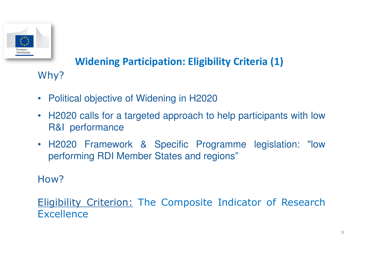

# **Widening Participation: Eligibility Criteria (1)**

- $\bullet$ Political objective of Widening in H2020
- $\bullet$  H2020 calls for <sup>a</sup> targeted approach to help participants with lowR&I performance
- H2020 Framework & Specific Programme legislation: "lowperforming RDI Member States and regions"

### How?

Why?

Eligibility Criterion: The Composite Indicator of Research **Excellence**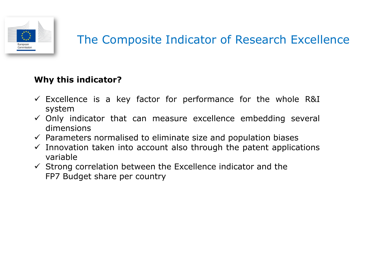

#### **Why this indicator?**

- Excellence is <sup>a</sup> key factor for performance for the whole R&I system
- $\checkmark$  Only indicator that can measure excellence embedding several<br>dimensions dimensions
- $\checkmark$  Parameters normalised to eliminate size and population biases<br> $\checkmark$  Innovation taken into account also through the natent annlica
- Innovation taken into account also through the patent applications<br>
variable variable
- <p>✓ Strong correlation between the Excellence indicator and the FP 2.64</p>\n<p>FP 7. Buildest share per country</p> FP7 Budget share per country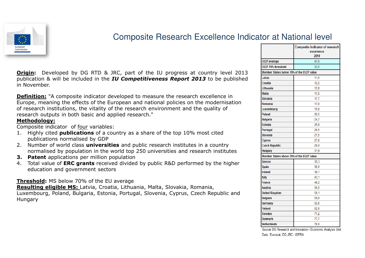

#### Composite Research Excellence Indicator at National level

**Origin:** Developed by DG RTD & JRC, part of the IU progress at country level <sup>2013</sup> publication & will be included in the *IU Competitiveness Report <sup>2013</sup>* to be published in November.

**Definition:** "A composite indicator developed to measure the research excellence in Europe, meaning the effects of the European and national policies on the modernisation of research institutions, the vitality of the research environment and the quality of research outputs in both basic and applied research."

#### **Methodology:**

Composite indicator of four variables: Composite indicator of <u>four</u> variables:<br>1 Highly cited **nublications** of a col

- 1. Highly cited **publications** of a country as a share of the top 10% most cited publications normalised by GDP
- 2. Number of world class **universities** and public research institutes in a country normalised by population in the world top 250 universities and research institutes
- **3. Patent** applications per million population
- 4. Total value of **ERC grants** received divided by public R&D performed by the higher education and government sectors

**Threshold:** MS below 70% of the EU average

 **Resulting eligible MS:** Latvia, Croatia, Lithuania, Malta, Slovakia, Romania, Luxembourg, Poland, Bulgaria, Estonia, Portugal, Slovenia, Cyprus, Czech Republic and Hungary

|                                           | Composite indicator of research |
|-------------------------------------------|---------------------------------|
|                                           | excelence                       |
|                                           | 2010                            |
| EU27 average                              | 47,9                            |
| EU27 70% threshold                        | 33,5                            |
| Member States below 70% of the EU27 value |                                 |
| Latvia                                    | 11,5                            |
| Croatia                                   | 12,2                            |
| Lithuania                                 | 13,9                            |
| Malta                                     | 17,5                            |
| <b>Slovakia</b>                           | 17,7                            |
| Romania                                   | 17,8                            |
| Luxembourg                                | 19,8                            |
| Poland                                    | 20,5                            |
| <b>Bulgaria</b>                           | 24,7                            |
| <b>Estonia</b>                            | 25,9                            |
| Portugal                                  | 26,5                            |
| Slovenia                                  | 27,5                            |
| <b>Cyprus</b>                             | 27,8                            |
| <b>Czech Republic</b>                     | 29,9                            |
| Hungary                                   | 31,9                            |
| Member States above 70% of the EU27 value |                                 |
| Greece                                    | 35,3                            |
| <b>Spain</b>                              | 36,6                            |
| <b>Ireland</b>                            | 38,1                            |
| Italy                                     | 43,1                            |
| France                                    | 48.2                            |
| Austria                                   | 50,5                            |
| <b>United Kingdom</b>                     | 56,1                            |
| <b>Belgium</b>                            | 59,9                            |
| Germany                                   | 62,8                            |
| <b>Finland</b>                            | 62,9                            |
| <b>Sweden</b>                             | 77,2                            |
| <b>Denmark</b>                            | 77,7                            |
| <b>Netherlands</b>                        | 78,9                            |

Source: DG Research and Innovation - Economic Analysis Unit Data: Eurostat, DG JRC - ISPRA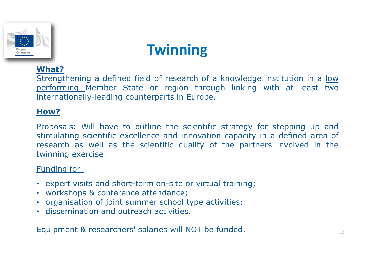

#### **What?**

Strengthening a defined field of research of a knowledge institution in a <u>low</u><br>performing. Member, State, or, region, through, linking, with, at, least, two performing Member State or region through linking with at least two internationally-leading counterparts in Europe.

#### **How?**

Proposals: Will have to outline the scientific strategy for stepping up and stimulating scientific excellence and innovation capacity in <sup>a</sup> defined area of research as well as the scientific quality of the partners involved in the twinning exercise

#### Funding for:

- expert visits and short-term on-site or virtual training;<br>• workshons & conference attendance;
- workshops & conference attendance;
- organisation of joint summer school type activities;
- dissemination and outreach activities.

Equipment & researchers' salaries will NOT be funded.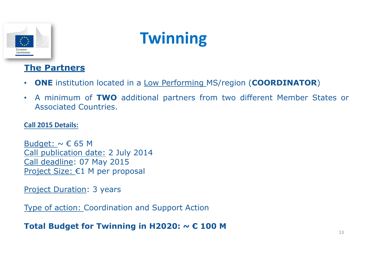

#### **The Partners**

- •**ONE** institution located in <sup>a</sup> Low Performing MS/region (**COORDINATOR**)
- $\bullet$  <sup>A</sup> minimum of **TWO** additional partners from two different Member States or Associated Countries.

#### **Call 2015 Details:**

Budget:  $\sim \epsilon$  65 M Call publication date: 2 July 2014 Call deadline: 07 May 2015Project Size: €1 M per proposal

**Project Duration: 3 years** 

Type of action: Coordination and Support Action

**Total Budget for Twinning in H2020: ~ € 100 M**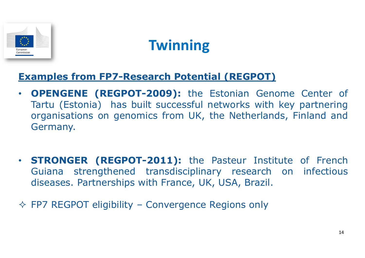

### **Examples from FP7-Research Potential (REGPOT)**

- $\bullet$  **OPENGENE (REGPOT-2009):** the Estonian Genome Center of Tartu (Estonia) has built successful networks with key partnering organisations on genomics from UK, the Netherlands, Finland and Germany.
- $\bullet$  **STRONGER (REGPOT-2011):** the Pasteur Institute of French Guiana strengthened transdisciplinary research on infectious diseases. Partnerships with France, UK, USA, Brazil.
- $\Leftrightarrow$  FP7 REGPOT eligibility Convergence Regions only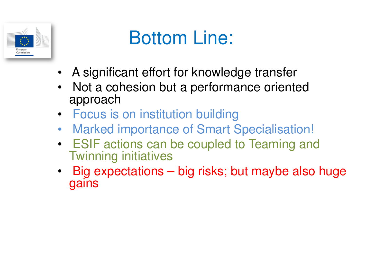

# Bottom Line:

- A significant effort for knowledge transfer
- • Not a cohesion but a performance oriented approach
- Focus is on institution building
- Marked importance of Smart Specialisation! •
- ESIF actions can be coupled to Teaming and Twinning initiatives
- Big expectations big risks; but maybe also huge •gains